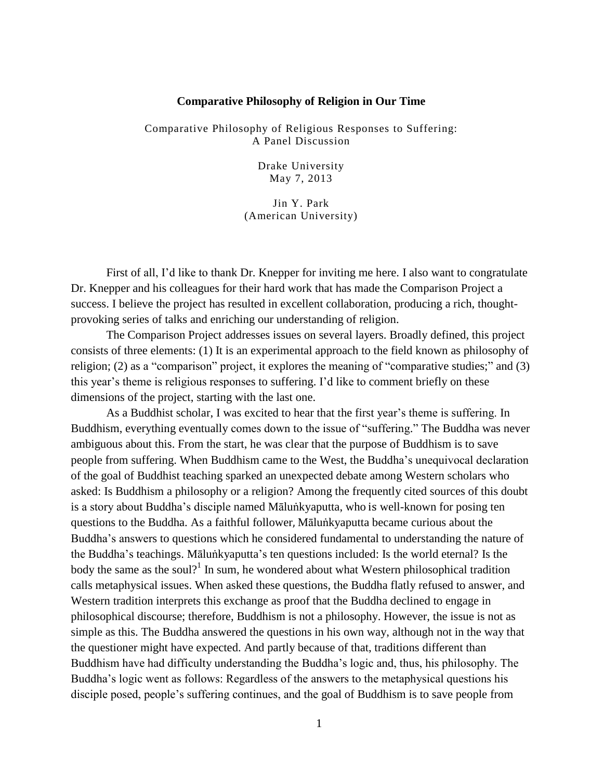## **Comparative Philosophy of Religion in Our Time**

Comparative Philosophy of Religious Responses to Suffering: A Panel Discussion

> Drake University May 7, 2013

Jin Y. Park (American University)

First of all, I'd like to thank Dr. Knepper for inviting me here. I also want to congratulate Dr. Knepper and his colleagues for their hard work that has made the Comparison Project a success. I believe the project has resulted in excellent collaboration, producing a rich, thoughtprovoking series of talks and enriching our understanding of religion.

The Comparison Project addresses issues on several layers. Broadly defined, this project consists of three elements: (1) It is an experimental approach to the field known as philosophy of religion; (2) as a "comparison" project, it explores the meaning of "comparative studies;" and (3) this year's theme is religious responses to suffering. I'd like to comment briefly on these dimensions of the project, starting with the last one.

As a Buddhist scholar, I was excited to hear that the first year's theme is suffering. In Buddhism, everything eventually comes down to the issue of "suffering." The Buddha was never ambiguous about this. From the start, he was clear that the purpose of Buddhism is to save people from suffering. When Buddhism came to the West, the Buddha's unequivocal declaration of the goal of Buddhist teaching sparked an unexpected debate among Western scholars who asked: Is Buddhism a philosophy or a religion? Among the frequently cited sources of this doubt is a story about Buddha's disciple named Māluṅkyaputta, who is well-known for posing ten questions to the Buddha. As a faithful follower, Māluṅkyaputta became curious about the Buddha's answers to questions which he considered fundamental to understanding the nature of the Buddha's teachings. Māluṅkyaputta's ten questions included: Is the world eternal? Is the body the same as the soul?<sup>1</sup> In sum, he wondered about what Western philosophical tradition calls metaphysical issues. When asked these questions, the Buddha flatly refused to answer, and Western tradition interprets this exchange as proof that the Buddha declined to engage in philosophical discourse; therefore, Buddhism is not a philosophy. However, the issue is not as simple as this. The Buddha answered the questions in his own way, although not in the way that the questioner might have expected. And partly because of that, traditions different than Buddhism have had difficulty understanding the Buddha's logic and, thus, his philosophy. The Buddha's logic went as follows: Regardless of the answers to the metaphysical questions his disciple posed, people's suffering continues, and the goal of Buddhism is to save people from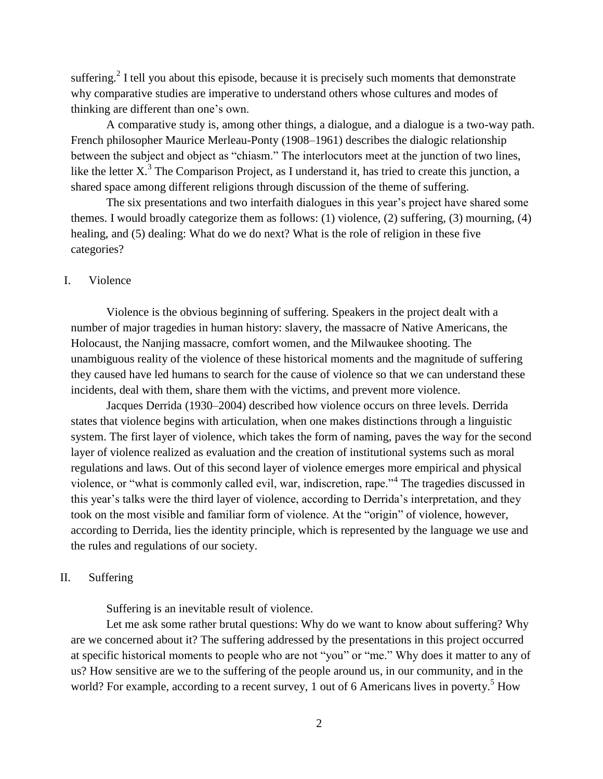suffering.<sup>2</sup> I tell you about this episode, because it is precisely such moments that demonstrate why comparative studies are imperative to understand others whose cultures and modes of thinking are different than one's own.

A comparative study is, among other things, a dialogue, and a dialogue is a two-way path. French philosopher Maurice Merleau-Ponty (1908–1961) describes the dialogic relationship between the subject and object as "chiasm." The interlocutors meet at the junction of two lines, like the letter  $X^3$ . The Comparison Project, as I understand it, has tried to create this junction, a shared space among different religions through discussion of the theme of suffering.

The six presentations and two interfaith dialogues in this year's project have shared some themes. I would broadly categorize them as follows: (1) violence, (2) suffering, (3) mourning, (4) healing, and (5) dealing: What do we do next? What is the role of religion in these five categories?

## I. Violence

Violence is the obvious beginning of suffering. Speakers in the project dealt with a number of major tragedies in human history: slavery, the massacre of Native Americans, the Holocaust, the Nanjing massacre, comfort women, and the Milwaukee shooting. The unambiguous reality of the violence of these historical moments and the magnitude of suffering they caused have led humans to search for the cause of violence so that we can understand these incidents, deal with them, share them with the victims, and prevent more violence.

Jacques Derrida (1930–2004) described how violence occurs on three levels. Derrida states that violence begins with articulation, when one makes distinctions through a linguistic system. The first layer of violence, which takes the form of naming, paves the way for the second layer of violence realized as evaluation and the creation of institutional systems such as moral regulations and laws. Out of this second layer of violence emerges more empirical and physical violence, or "what is commonly called evil, war, indiscretion, rape."<sup>4</sup> The tragedies discussed in this year's talks were the third layer of violence, according to Derrida's interpretation, and they took on the most visible and familiar form of violence. At the "origin" of violence, however, according to Derrida, lies the identity principle, which is represented by the language we use and the rules and regulations of our society.

## II. Suffering

Suffering is an inevitable result of violence.

Let me ask some rather brutal questions: Why do we want to know about suffering? Why are we concerned about it? The suffering addressed by the presentations in this project occurred at specific historical moments to people who are not "you" or "me." Why does it matter to any of us? How sensitive are we to the suffering of the people around us, in our community, and in the world? For example, according to a recent survey, 1 out of 6 Americans lives in poverty.<sup>5</sup> How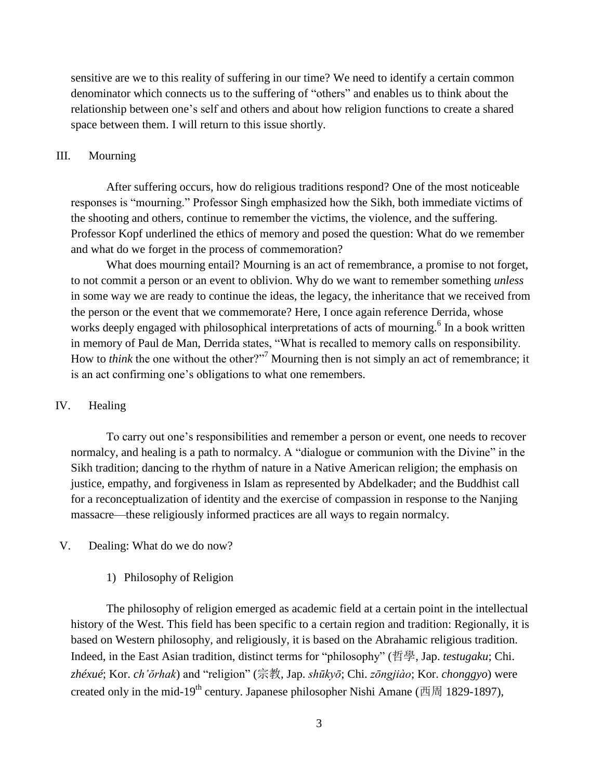sensitive are we to this reality of suffering in our time? We need to identify a certain common denominator which connects us to the suffering of "others" and enables us to think about the relationship between one's self and others and about how religion functions to create a shared space between them. I will return to this issue shortly.

## III. Mourning

After suffering occurs, how do religious traditions respond? One of the most noticeable responses is "mourning." Professor Singh emphasized how the Sikh, both immediate victims of the shooting and others, continue to remember the victims, the violence, and the suffering. Professor Kopf underlined the ethics of memory and posed the question: What do we remember and what do we forget in the process of commemoration?

What does mourning entail? Mourning is an act of remembrance, a promise to not forget, to not commit a person or an event to oblivion. Why do we want to remember something *unless* in some way we are ready to continue the ideas, the legacy, the inheritance that we received from the person or the event that we commemorate? Here, I once again reference Derrida, whose works deeply engaged with philosophical interpretations of acts of mourning.<sup>6</sup> In a book written in memory of Paul de Man, Derrida states, "What is recalled to memory calls on responsibility. How to *think* the one without the other?"<sup>7</sup> Mourning then is not simply an act of remembrance; it is an act confirming one's obligations to what one remembers.

# IV. Healing

To carry out one's responsibilities and remember a person or event, one needs to recover normalcy, and healing is a path to normalcy. A "dialogue or communion with the Divine" in the Sikh tradition; dancing to the rhythm of nature in a Native American religion; the emphasis on justice, empathy, and forgiveness in Islam as represented by Abdelkader; and the Buddhist call for a reconceptualization of identity and the exercise of compassion in response to the Nanjing massacre—these religiously informed practices are all ways to regain normalcy.

## V. Dealing: What do we do now?

# 1) Philosophy of Religion

The philosophy of religion emerged as academic field at a certain point in the intellectual history of the West. This field has been specific to a certain region and tradition: Regionally, it is based on Western philosophy, and religiously, it is based on the Abrahamic religious tradition. Indeed, in the East Asian tradition, distinct terms for "philosophy" (哲學, Jap. *testugaku*; Chi. *zhéxué*; Kor. *ch'ŏrhak*) and "religion" (宗教, Jap. *shūkyō*; Chi. *zōngjiào*; Kor. *chonggyo*) were created only in the mid-19<sup>th</sup> century. Japanese philosopher Nishi Amane (西周 1829-1897),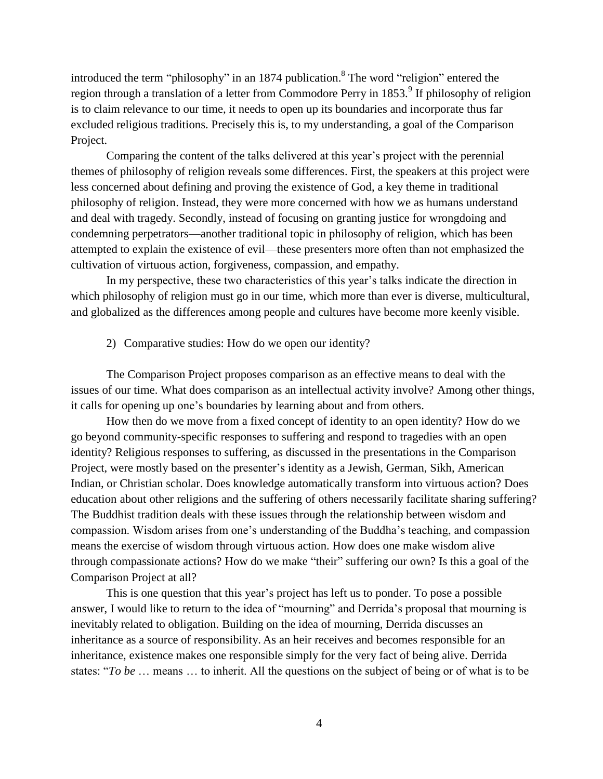introduced the term "philosophy" in an 1874 publication. 8 The word "religion" entered the region through a translation of a letter from Commodore Perry in 1853.<sup>9</sup> If philosophy of religion is to claim relevance to our time, it needs to open up its boundaries and incorporate thus far excluded religious traditions. Precisely this is, to my understanding, a goal of the Comparison Project.

Comparing the content of the talks delivered at this year's project with the perennial themes of philosophy of religion reveals some differences. First, the speakers at this project were less concerned about defining and proving the existence of God, a key theme in traditional philosophy of religion. Instead, they were more concerned with how we as humans understand and deal with tragedy. Secondly, instead of focusing on granting justice for wrongdoing and condemning perpetrators—another traditional topic in philosophy of religion, which has been attempted to explain the existence of evil—these presenters more often than not emphasized the cultivation of virtuous action, forgiveness, compassion, and empathy.

In my perspective, these two characteristics of this year's talks indicate the direction in which philosophy of religion must go in our time, which more than ever is diverse, multicultural, and globalized as the differences among people and cultures have become more keenly visible.

2) Comparative studies: How do we open our identity?

The Comparison Project proposes comparison as an effective means to deal with the issues of our time. What does comparison as an intellectual activity involve? Among other things, it calls for opening up one's boundaries by learning about and from others.

How then do we move from a fixed concept of identity to an open identity? How do we go beyond community-specific responses to suffering and respond to tragedies with an open identity? Religious responses to suffering, as discussed in the presentations in the Comparison Project, were mostly based on the presenter's identity as a Jewish, German, Sikh, American Indian, or Christian scholar. Does knowledge automatically transform into virtuous action? Does education about other religions and the suffering of others necessarily facilitate sharing suffering? The Buddhist tradition deals with these issues through the relationship between wisdom and compassion. Wisdom arises from one's understanding of the Buddha's teaching, and compassion means the exercise of wisdom through virtuous action. How does one make wisdom alive through compassionate actions? How do we make "their" suffering our own? Is this a goal of the Comparison Project at all?

This is one question that this year's project has left us to ponder. To pose a possible answer, I would like to return to the idea of "mourning" and Derrida's proposal that mourning is inevitably related to obligation. Building on the idea of mourning, Derrida discusses an inheritance as a source of responsibility. As an heir receives and becomes responsible for an inheritance, existence makes one responsible simply for the very fact of being alive. Derrida states: "*To be* … means … to inherit. All the questions on the subject of being or of what is to be